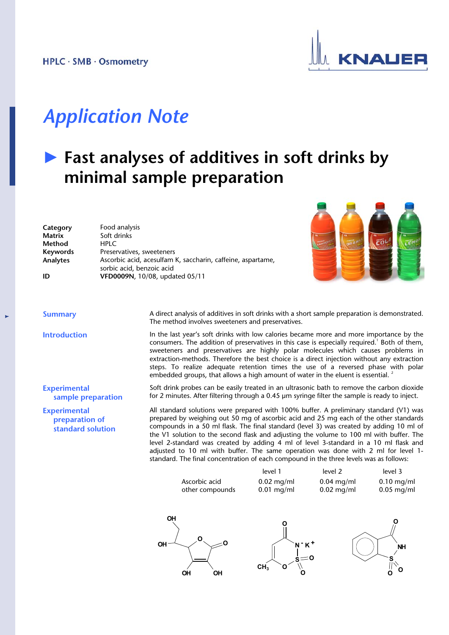

## *Application Note*

### **► Fast analyses of additives in soft drinks by minimal sample preparation**

| Category | Food analysis                                               |
|----------|-------------------------------------------------------------|
| Matrix   | Soft drinks                                                 |
| Method   | HPI C                                                       |
| Keywords | Preservatives, sweeteners                                   |
| Analytes | Ascorbic acid, acesulfam K, saccharin, caffeine, aspartame, |
|          | sorbic acid, benzoic acid                                   |
| ID       | VFD0009N, 10/08, updated 05/11                              |



**Experimental sample preparation**

**Experimental preparation of standard solution**

**Summary** A direct analysis of additives in soft drinks with a short sample preparation is demonstrated. The method involves sweeteners and preservatives.

**Introduction** In the last year's soft drinks with low calories became more and more importance by the consumers. The addition of preservatives in this case is especially required.<sup>1</sup> Both of them, sweeteners and preservatives are highly polar molecules which causes problems in extraction-methods. Therefore the best choice is a direct injection without any extraction steps. To realize adequate retention times the use of a reversed phase with polar embedded groups, that allows a high amount of water in the eluent is essential.<sup>2</sup>

> Soft drink probes can be easily treated in an ultrasonic bath to remove the carbon dioxide for 2 minutes. After filtering through a 0.45 µm syringe filter the sample is ready to inject.

> All standard solutions were prepared with 100% buffer. A preliminary standard (V1) was prepared by weighing out 50 mg of ascorbic acid and 25 mg each of the other standards compounds in a 50 ml flask. The final standard (level 3) was created by adding 10 ml of the V1 solution to the second flask and adjusting the volume to 100 ml with buffer. The level 2-standard was created by adding 4 ml of level 3-standard in a 10 ml flask and adjusted to 10 ml with buffer. The same operation was done with 2 ml for level 1 standard. The final concentration of each compound in the three levels was as follows:

|                                  | level 1                           | level 2      | level 3      |
|----------------------------------|-----------------------------------|--------------|--------------|
| Ascorbic acid                    | $0.02$ mg/ml                      | $0.04$ mg/ml | $0.10$ mg/ml |
| other compounds                  | $0.01$ mg/ml                      | $0.02$ mg/ml | $0.05$ mg/ml |
| <b>OH</b><br>0<br>OH<br>OН<br>OΗ | - K+<br>N<br>CH <sub>3</sub><br>ი |              | <b>NH</b>    |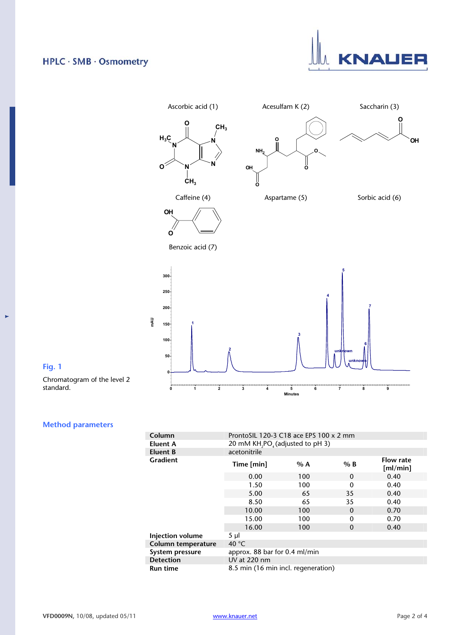#### HPLC · SMB · Osmometry





#### **Fig. 1**

 $\mathbf{r}$ 

Chromatogram of the level 2 standard.

### **Method parameters**

| Column             | ProntoSIL 120-3 C18 ace EPS 100 x 2 mm                   |     |          |                       |  |
|--------------------|----------------------------------------------------------|-----|----------|-----------------------|--|
| Eluent A           | 20 mM KH <sub>2</sub> PO <sub>4</sub> (adjusted to pH 3) |     |          |                       |  |
| <b>Eluent B</b>    | acetonitrile                                             |     |          |                       |  |
| <b>Gradient</b>    | Time [min]                                               | % A | $%$ B    | Flow rate<br>[m]/min] |  |
|                    | 0.00                                                     | 100 | $\Omega$ | 0.40                  |  |
|                    | 1.50                                                     | 100 | $\Omega$ | 0.40                  |  |
|                    | 5.00                                                     | 65  | 35       | 0.40                  |  |
|                    | 8.50                                                     | 65  | 35       | 0.40                  |  |
|                    | 10.00                                                    | 100 | $\Omega$ | 0.70                  |  |
|                    | 15.00                                                    | 100 | $\Omega$ | 0.70                  |  |
|                    | 16.00                                                    | 100 | $\Omega$ | 0.40                  |  |
| Injection volume   | $5 \mu$                                                  |     |          |                       |  |
| Column temperature | 40 $°C$                                                  |     |          |                       |  |
| System pressure    | approx. 88 bar for 0.4 ml/min                            |     |          |                       |  |
| <b>Detection</b>   | UV at 220 nm                                             |     |          |                       |  |
| <b>Run time</b>    | 8.5 min (16 min incl. regeneration)                      |     |          |                       |  |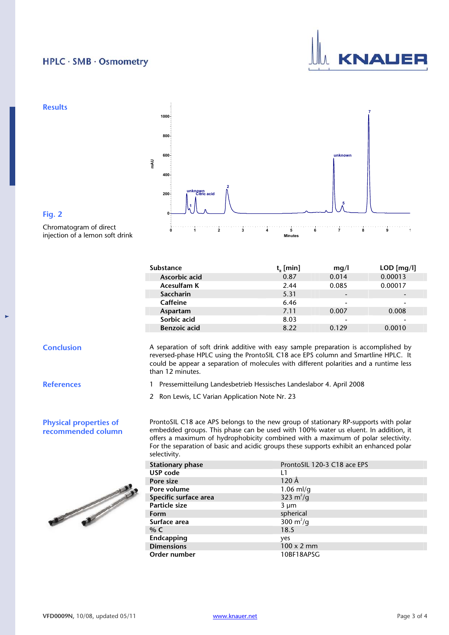#### HPLC · SMB · Osmometry





#### **Substance** t<sub>R</sub> [min] mg/l LOD [mg/l]<br>Ascorbic acid 0.87 0.014 0.00013 **Ascorbic acid** 0.87 0.014 0.00013 **Acesulfam K** 2.44 0.085 **Saccharin** 5.31 - 5.31 - 5.31 - 5.31 - 5.31 - 5.31 - 5.31 - 5.31 - 5.31 - 5.31 - 5.31 - 5.31 - 5.46 - 5.46 - 5.46 - 5.46 - 5.46 - 5.46 - 5.46 - 5.46 - 5.46 - 5.46 - 5.46 - 5.46 - 5.46 - 5.46 - 5.46 - 5.46 - 5.47 - 5.47 - **Caffeine** 6.46 - - **Aspartam** 7.11 0.007 0.008 **Sorbic acid** 8.03 - - **Benzoic acid** 8.22

**Conclusion A separation of soft drink additive with easy sample preparation is accomplished by** reversed-phase HPLC using the ProntoSIL C18 ace EPS column and Smartline HPLC. It could be appear a separation of molecules with different polarities and a runtime less than 12 minutes.

**References** 1 Pressemitteilung Landesbetrieb Hessisches Landeslabor 4. April 2008

2 Ron Lewis, LC Varian Application Note Nr. 23

ProntoSIL C18 ace APS belongs to the new group of stationary RP-supports with polar embedded groups. This phase can be used with 100% water us eluent. In addition, it offers a maximum of hydrophobicity combined with a maximum of polar selectivity. For the separation of basic and acidic groups these supports exhibit an enhanced polar selectivity.

| <b>Stationary phase</b> | ProntoSIL 120-3 C18 ace EPS |  |
|-------------------------|-----------------------------|--|
| USP code                | L1                          |  |
| Pore size               | $120 \text{ Å}$             |  |
| Pore volume             | $1.06$ ml/g                 |  |
| Specific surface area   | 323 $m^2/q$                 |  |
| Particle size           | 3 µm                        |  |
| Form                    | spherical                   |  |
| Surface area            | 300 $m^2/q$                 |  |
| % $C$                   | 18.5                        |  |
| Endcapping              | yes                         |  |
| <b>Dimensions</b>       | $100 \times 2$ mm           |  |
| Order number            | 10BF18APSG                  |  |



**Physical properties of recommended column**